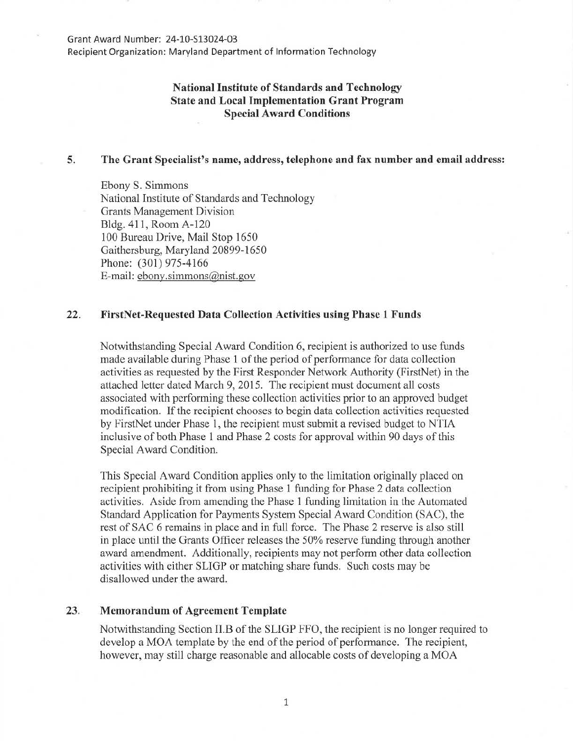#### Grant Award Number: 24-10-513024-03

Recipient Organization: Maryland Department of Information Technology

# National Institute of Standards and Technology State and Local Implementation Grant Program Special Award Conditions

#### 5. The Grant Specialist's name, address, telephone and fax number and email address:

Ebony S. Simmons National Institute of Standards and Technology Grants Management Division Bldg. 411, Room A-120 100 Bureau Drive, Mail Stop 1650 Gaithersburg, Maryland 20899-1650 Phone: (301) 975-4166 E-mail: ebony.simmons@nist.gov

### 22. FirstNet-Requested Data Collection Activities using Phase 1 Funds

Notwithstanding Special Award Condition 6, recipient is authorized to use funds made available during Phase 1 of the period of performance for data collection activities as requested by the First Responder Network Authority (FirstNet) in the attached letter dated March 9, 2015. The recipient must document all costs associated with performing these collection activities prior to an approved budget modification. If the recipient chooses to begin data collection activities requested by FirstNet under Phase 1, the recipient must submit a revised budget to NTIA inclusive of both Phase 1 and Phase 2 costs for approval within 90 days of this Special Award Condition.

This Special Award Condition applies only to the limitation originally placed on recipient prohibiting it from using Phase 1 funding for Phase 2 data collection activities. Aside from amending the Phase 1 funding limitation in the Automated Standard Application for Payments System Special Award Condition (SAC), the rest of SAC 6 remains in place and in full force. The Phase 2 reserve is also still in place until the Grants Officer releases the 50% reserve funding through another award amendment. Additionally, recipients may not perform other data collection activities with either SLIGP or matching share funds. Such costs may be disallowed under the award.

## 23. Memorandum of Agreement Template

Notwithstanding Section II.B of the SLIGP FFO, the recipient is no longer required to develop a MOA template by the end of the period of performance. The recipient, however, may still charge reasonable and allocable costs of developing a MOA

1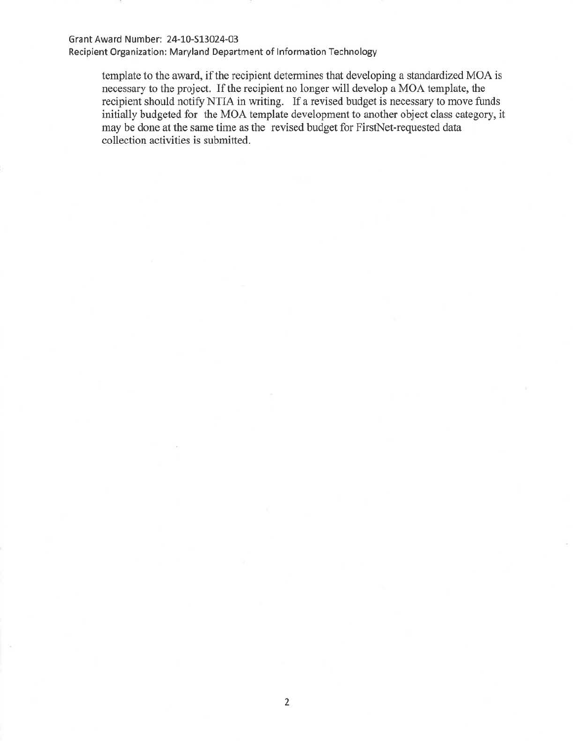### Grant Award Number: 24-10-\$13024-03

Recipient Organization: Maryland Department of Information Technology

template to the award, if the recipient determines that developing a standardized MOA is necessary to the project. If the recipient no longer will develop a MOA template, the recipient should notify NTIA in writing. If a revised budget is necessary to move funds initially budgeted for the MOA template development to another object class category, it may be done at the same time as the revised budget for FirstNet-requested data collection activities is submitted.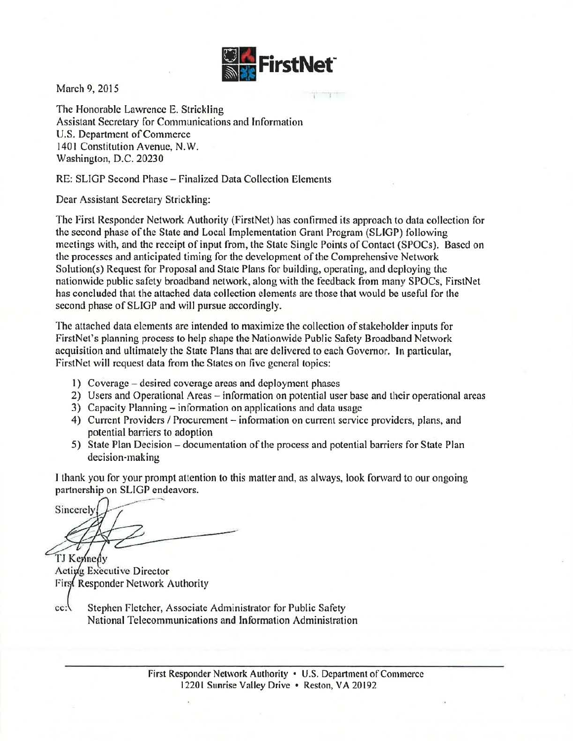

March 9, 2015

The Honorable Lawrence E. Strickling Assistant Secretary for Communications and Information U.S. Department of Commerce 1401 Constitution Avenue, N.W. Washington, D.C. 20230

RE: SLIGP Second Phase- Finalized Data Collection Elements

Dear Assistant Secretary Strickling:

The First Responder Network Authority (FirstNet) has confinned its approach to data collection tor the second phase of the State and Local Implementation Grant Program (SLIGP) following meetings with, and the receipt of input from, the State Single Points of Contact (SPOCs ). Based on the processes and anticipated timing for the development of the Comprehensive Network Solution(s) Request for Proposal and State Plans for building, operating, and deploying the nationwide public safety broadband network, along with the feedback from many SPOCs, FirstNet has concluded that the attached data collection elements are those that would be useful for the second phase of SLIGP and will pursue accordingly.

The attached data elements are intended to maximize the collection of stakeholder inputs for FirstNet's planning process to help shape the Nationwide Public Safety Broadband Network acquisition and ultimately the State Plans that are delivered to each Governor. Jn particular, FirstNct will request data from the States on five general topics:

- I) Coverage- desired coverage areas and deployment phases
- 2) Users and Operational Areas information on potential user base and their operational areas
- 3) Capacity Planning- infonnation on applications and data usage
- 4) Current Providers / Procurement information on current service providers, plans, and potential barriers to adoption
- 5) State Plan Decision- documentation of the process and potential barriers for State Plan decision-making

I thank you for your prompt attention to this matter and, as always, look forward to our ongoing partnership on SLIGP endeavors.

Sincerely TJ Kennedy

Acting Executive Director First Responder Network Authority

 $cc.$ Stephen Fletcher, Associate Administrator for Public Safety National Telecommunications and Information Administration